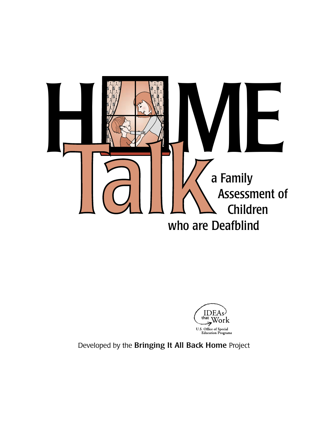



Developed by the Bringing It All Back Home Project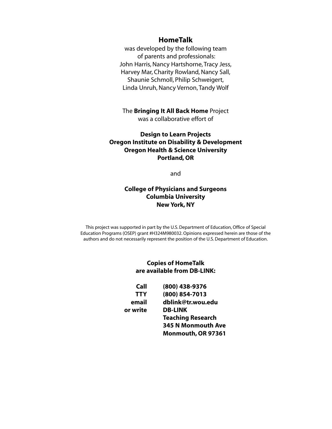### **HomeTalk**

was developed by the following team of parents and professionals: John Harris, Nancy Hartshorne, Tracy Jess, Harvey Mar, Charity Rowland, Nancy Sall, Shaunie Schmoll, Philip Schweigert, Linda Unruh, Nancy Vernon, Tandy Wolf

The **Bringing It All Back Home** Project was a collaborative effort of

### **Design to Learn Projects Oregon Institute on Disability & Development Oregon Health & Science University Portland, OR**

and

### **College of Physicians and Surgeons Columbia University New York, NY**

This project was supported in part by the U.S. Department of Education, Office of Special Education Programs (OSEP) grant #H324M980032. Opinions expressed herein are those of the authors and do not necessarily represent the position of the U.S. Department of Education.

### **Copies of HomeTalk are available from DB-LINK:**

| Call       | (800) 438-9376            |
|------------|---------------------------|
| <b>TTY</b> | (800) 854-7013            |
| email      | dblink@tr.wou.edu         |
| or write   | <b>DB-LINK</b>            |
|            | <b>Teaching Research</b>  |
|            | <b>345 N Monmouth Ave</b> |
|            | Monmouth, OR 97361        |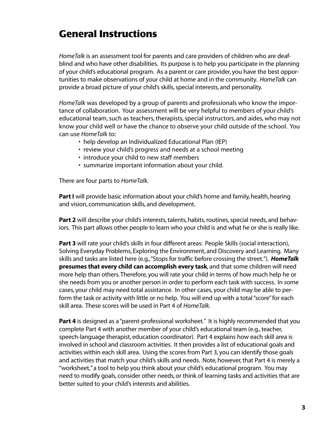# **General Instructions**

*HomeTalk* is an assessment tool for parents and care providers of children who are deafblind and who have other disabilities. Its purpose is to help you participate in the planning of your child's educational program. As a parent or care provider, you have the best opportunities to make observations of your child at home and in the community. *HomeTalk* can provide a broad picture of your child's skills, special interests, and personality.

*HomeTalk* was developed by a group of parents and professionals who know the importance of collaboration. Your assessment will be very helpful to members of your child's educational team, such as teachers, therapists, special instructors, and aides, who may not know your child well or have the chance to observe your child outside of the school. You can use *HomeTalk* to:

- help develop an Individualized Educational Plan (IEP)
- review your child's progress and needs at a school meeting
- introduce your child to new staff members
- summarize important information about your child.

There are four parts to *HomeTalk*.

Part I will provide basic information about your child's home and family, health, hearing and vision, communication skills, and development.

**Part 2** will describe your child's interests, talents, habits, routines, special needs, and behaviors. This part allows other people to learn who your child is and what he or she is really like.

Part 3 will rate your child's skills in four different areas: People Skills (social interaction), Solving Everyday Problems, Exploring the Environment, and Discovery and Learning. Many skills and tasks are listed here (e.g.,"Stops for traffic before crossing the street."). *HomeTalk* **presumes that every child can accomplish every task**, and that some children will need more help than others.Therefore, you will rate your child in terms of how much help he or she needs from you or another person in order to perform each task with success. In some cases, your child may need total assistance. In other cases, your child may be able to perform the task or activity with little or no help. You will end up with a total "score" for each skill area. These scores will be used in Part 4 of *HomeTalk*.

**Part 4** is designed as a "parent-professional worksheet." It is highly recommended that you complete Part 4 with another member of your child's educational team (e.g., teacher, speech-language therapist, education coordinator). Part 4 explains how each skill area is involved in school and classroom activities. It then provides a list of educational goals and activities within each skill area. Using the scores from Part 3, you can identify those goals and activities that match your child's skills and needs. Note, however, that Part 4 is merely a "worksheet," a tool to help you think about your child's educational program. You may need to modify goals, consider other needs, or think of learning tasks and activities that are better suited to your child's interests and abilities.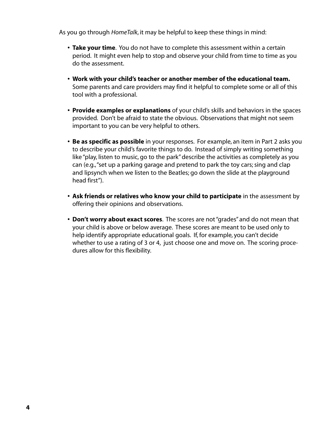As you go through *HomeTalk*, it may be helpful to keep these things in mind:

- **Take your time**. You do not have to complete this assessment within a certain period. It might even help to stop and observe your child from time to time as you do the assessment.
- **Work with your child's teacher or another member of the educational team.** Some parents and care providers may find it helpful to complete some or all of this tool with a professional.
- **Provide examples or explanations** of your child's skills and behaviors in the spaces provided. Don't be afraid to state the obvious. Observations that might not seem important to you can be very helpful to others.
- **Be as specific as possible** in your responses. For example, an item in Part 2 asks you to describe your child's favorite things to do. Instead of simply writing something like "play, listen to music, go to the park" describe the activities as completely as you can (e.g.,"set up a parking garage and pretend to park the toy cars; sing and clap and lipsynch when we listen to the Beatles; go down the slide at the playground head first").
- **Ask friends or relatives who know your child to participate** in the assessment by offering their opinions and observations.
- **Don't worry about exact scores**. The scores are not "grades" and do not mean that your child is above or below average. These scores are meant to be used only to help identify appropriate educational goals. If, for example, you can't decide whether to use a rating of 3 or 4, just choose one and move on. The scoring procedures allow for this flexibility.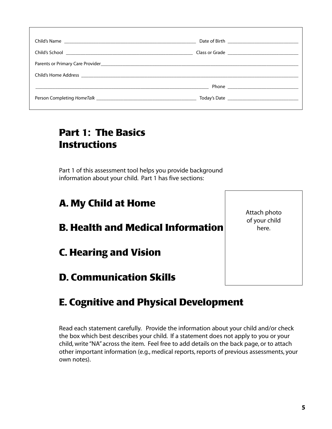| Person Completing HomeTalk experience and the control of the control of the control of the control of the control of the control of the control of the control of the control of the control of the control of the control of |  |
|-------------------------------------------------------------------------------------------------------------------------------------------------------------------------------------------------------------------------------|--|

# **Part 1: The Basics Instructions**

Part 1 of this assessment tool helps you provide background information about your child. Part 1 has five sections:

# **A. My Child at Home**

# **B. Health and Medical Information**

**C. Hearing and Vision**

# **D. Communication Skills**

# **E. Cognitive and Physical Development**

Read each statement carefully. Provide the information about your child and/or check the box which best describes your child. If a statement does not apply to you or your child, write "NA" across the item. Feel free to add details on the back page, or to attach other important information (e.g., medical reports, reports of previous assessments, your own notes).

Attach photo of your child here.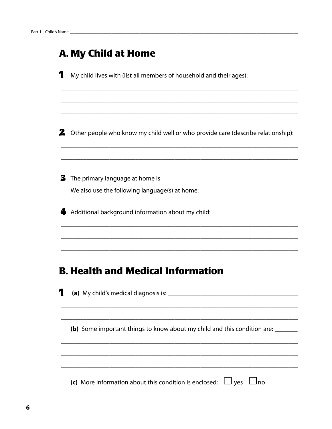|   | <b>A. My Child at Home</b>                                                         |
|---|------------------------------------------------------------------------------------|
| 1 | My child lives with (list all members of household and their ages):                |
|   |                                                                                    |
|   |                                                                                    |
|   | 2 Other people who know my child well or who provide care (describe relationship): |
|   |                                                                                    |
|   |                                                                                    |
|   | We also use the following language(s) at home: _________________________________   |
|   | Additional background information about my child:                                  |
|   |                                                                                    |
|   | <b>B. Health and Medical Information</b>                                           |
|   | (a) My child's medical diagnosis is:                                               |
|   | (b) Some important things to know about my child and this condition are:           |
|   |                                                                                    |
|   |                                                                                    |

(c) More information about this condition is enclosed:  $\Box$  yes  $\Box$  no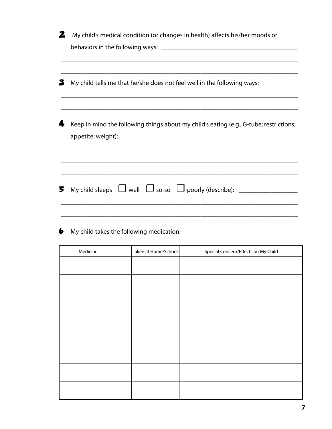| 2 | My child's medical condition (or changes in health) affects his/her moods or           |
|---|----------------------------------------------------------------------------------------|
|   |                                                                                        |
|   |                                                                                        |
| З | My child tells me that he/she does not feel well in the following ways:                |
|   |                                                                                        |
|   | Keep in mind the following things about my child's eating (e.g., G-tube; restrictions; |
|   |                                                                                        |
|   |                                                                                        |
|   |                                                                                        |
|   |                                                                                        |
| 5 | My child sleeps $\Box$ well $\Box$ so-so $\Box$ poorly (describe): ___________________ |
|   |                                                                                        |
|   |                                                                                        |

6 My child takes the following medication:

| Medicine | Taken at Home/School | Special Concern/Effects on My Child |
|----------|----------------------|-------------------------------------|
|          |                      |                                     |
|          |                      |                                     |
|          |                      |                                     |
|          |                      |                                     |
|          |                      |                                     |
|          |                      |                                     |
|          |                      |                                     |
|          |                      |                                     |
|          |                      |                                     |
|          |                      |                                     |
|          |                      |                                     |
|          |                      |                                     |
|          |                      |                                     |
|          |                      |                                     |
|          |                      |                                     |
|          |                      |                                     |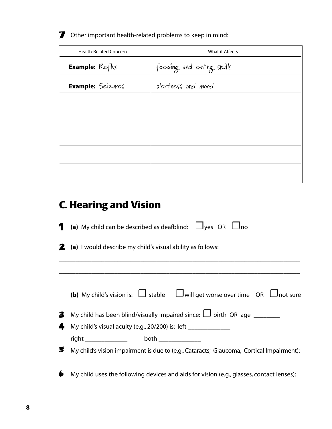### 7 Other important health-related problems to keep in mind:

| <b>Health-Related Concern</b> | What it Affects           |
|-------------------------------|---------------------------|
| <b>Example:</b> Reflvx        | feeding and eating skills |
| Example: Seizures             | alertness and mood        |
|                               |                           |
|                               |                           |
|                               |                           |
|                               |                           |
|                               |                           |
|                               |                           |

# **C. Hearing and Vision**

| 1 | (a) My child can be described as deafblind: $\Box$ yes $\Box$ no                                  |
|---|---------------------------------------------------------------------------------------------------|
|   | <b>2</b> (a) I would describe my child's visual ability as follows:                               |
|   |                                                                                                   |
|   | <b>(b)</b> My child's vision is: $\Box$ stable $\Box$ will get worse over time OR $\Box$ not sure |
| 3 | My child has been blind/visually impaired since: $\Box$ birth OR age                              |
| 4 | My child's visual acuity (e.g., 20/200) is: left _______________                                  |
|   | right ________________   both ______________                                                      |
| 5 | My child's vision impairment is due to (e.g., Cataracts; Glaucoma; Cortical Impairment):          |
| 6 | My child uses the following devices and aids for vision (e.g., glasses, contact lenses):          |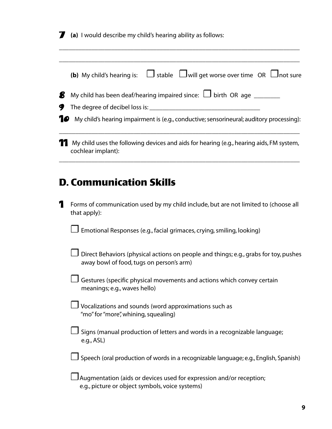7 **(a)** I would describe my child's hearing ability as follows:

|   | $\Box$ stable $\Box$ will get worse over time OR $\Box$ not sure<br>(b) My child's hearing is:                                   |
|---|----------------------------------------------------------------------------------------------------------------------------------|
| g | My child has been deaf/hearing impaired since: $\Box$ birth OR age ________                                                      |
| У | The degree of decibel loss is:                                                                                                   |
|   | My child's hearing impairment is (e.g., conductive; sensorineural; auditory processing):                                         |
|   | My child uses the following devices and aids for hearing (e.g., hearing aids, FM system,<br>cochlear implant):                   |
|   | <b>D. Communication Skills</b>                                                                                                   |
| 7 | Forms of communication used by my child include, but are not limited to (choose all<br>that apply):                              |
|   | Emotional Responses (e.g., facial grimaces, crying, smiling, looking)                                                            |
|   | Direct Behaviors (physical actions on people and things; e.g., grabs for toy, pushes<br>away bowl of food, tugs on person's arm) |
|   | Gestures (specific physical movements and actions which convey certain<br>meanings; e.g., waves hello)                           |

\_\_\_\_\_\_\_\_\_\_\_\_\_\_\_\_\_\_\_\_\_\_\_\_\_\_\_\_\_\_\_\_\_\_\_\_\_\_\_\_\_\_\_\_\_\_\_\_\_\_\_\_\_\_\_\_\_\_\_\_\_\_\_\_\_\_\_\_\_\_\_\_\_\_

- ❐ Vocalizations and sounds (word approximations such as "mo" for "more", whining, squealing)
- ❐ Signs (manual production of letters and words in a recognizable language; e.g., ASL)
- $\square$  Speech (oral production of words in a recognizable language; e.g., English, Spanish)
- $\Box$  Augmentation (aids or devices used for expression and/or reception; e.g., picture or object symbols, voice systems)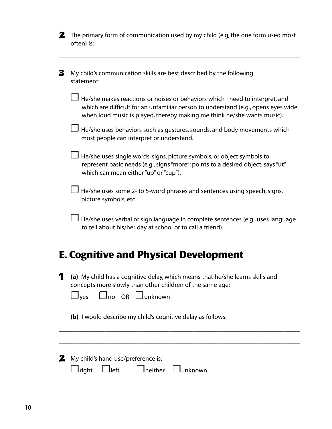| <b>2</b> The primary form of communication used by my child (e.g, the one form used most |
|------------------------------------------------------------------------------------------|
| often) is:                                                                               |

\_\_\_\_\_\_\_\_\_\_\_\_\_\_\_\_\_\_\_\_\_\_\_\_\_\_\_\_\_\_\_\_\_\_\_\_\_\_\_\_\_\_\_\_\_\_\_\_\_\_\_\_\_\_\_\_\_\_\_\_\_\_\_\_\_\_\_\_\_\_\_\_\_\_

- **3** My child's communication skills are best described by the following statement:
	- $\Box$  He/she makes reactions or noises or behaviors which I need to interpret, and which are difficult for an unfamiliar person to understand (e.g., opens eyes wide when loud music is played, thereby making me think he/she wants music).
	- $\Box$  He/she uses behaviors such as gestures, sounds, and body movements which most people can interpret or understand.
	- $\Box$  He/she uses single words, signs, picture symbols, or object symbols to represent basic needs (e.g., signs "more"; points to a desired object; says "ut" which can mean either "up" or "cup").
	- $\Box$  He/she uses some 2- to 5-word phrases and sentences using speech, signs, picture symbols, etc.
	- $\Box$  He/she uses verbal or sign language in complete sentences (e.g., uses language to tell about his/her day at school or to call a friend).

# **E. Cognitive and Physical Development**

1 **(a)** My child has a cognitive delay, which means that he/she learns skills and concepts more slowly than other children of the same age:

| $\Box$ yes |  | $\Box$ no OR $\Box$ unknown |
|------------|--|-----------------------------|
|            |  |                             |

**(b)** I would describe my child's cognitive delay as follows:

|                          | 2 My child's hand use/preference is: |  |
|--------------------------|--------------------------------------|--|
| $\Box$ right $\Box$ left | $\Box$ neither $\Box$ unknown        |  |

\_\_\_\_\_\_\_\_\_\_\_\_\_\_\_\_\_\_\_\_\_\_\_\_\_\_\_\_\_\_\_\_\_\_\_\_\_\_\_\_\_\_\_\_\_\_\_\_\_\_\_\_\_\_\_\_\_\_\_\_\_\_\_\_\_\_\_\_\_\_\_\_\_\_

\_\_\_\_\_\_\_\_\_\_\_\_\_\_\_\_\_\_\_\_\_\_\_\_\_\_\_\_\_\_\_\_\_\_\_\_\_\_\_\_\_\_\_\_\_\_\_\_\_\_\_\_\_\_\_\_\_\_\_\_\_\_\_\_\_\_\_\_\_\_\_\_\_\_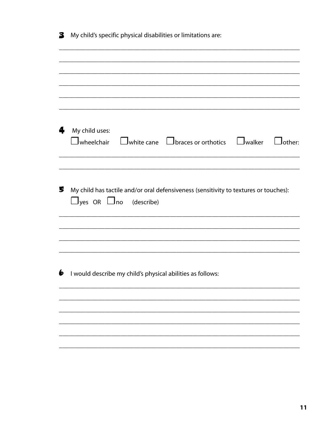| 3 |                                    | My child's specific physical disabilities or limitations are:                        |               |
|---|------------------------------------|--------------------------------------------------------------------------------------|---------------|
|   |                                    |                                                                                      |               |
| 4 | My child uses:                     | $\Box$ wheelchair $\Box$ white cane $\Box$ braces or orthotics $\Box$ walker         | $\Box$ other: |
|   |                                    |                                                                                      |               |
|   | $\Box$ yes OR $\Box$ no (describe) | My child has tactile and/or oral defensiveness (sensitivity to textures or touches): |               |
|   |                                    | $\bullet$ I would describe my child's physical abilities as follows:                 |               |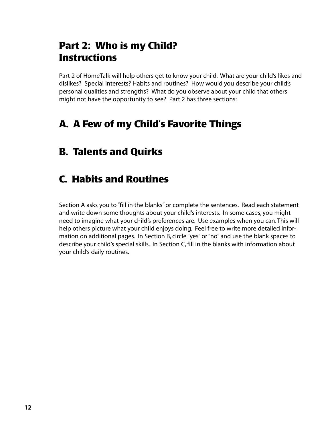# **Part 2: Who is my Child? Instructions**

Part 2 of HomeTalk will help others get to know your child. What are your child's likes and dislikes? Special interests? Habits and routines? How would you describe your child's personal qualities and strengths? What do you observe about your child that others might not have the opportunity to see? Part 2 has three sections:

# **A. A Few of my Child's Favorite Things**

# **B. Talents and Quirks**

# **C. Habits and Routines**

Section A asks you to "fill in the blanks" or complete the sentences. Read each statement and write down some thoughts about your child's interests. In some cases, you might need to imagine what your child's preferences are. Use examples when you can. This will help others picture what your child enjoys doing. Feel free to write more detailed information on additional pages. In Section B, circle "yes" or "no" and use the blank spaces to describe your child's special skills. In Section C, fill in the blanks with information about your child's daily routines.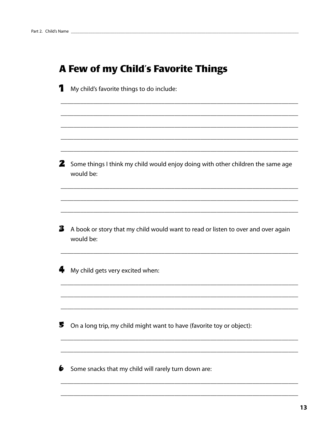# A Few of my Child's Favorite Things

- 1 My child's favorite things to do include: 2 Some things I think my child would enjoy doing with other children the same age would be:
- 3 A book or story that my child would want to read or listen to over and over again would be:
- 4 My child gets very excited when:

5 On a long trip, my child might want to have (favorite toy or object):

 $\bullet$  Some snacks that my child will rarely turn down are: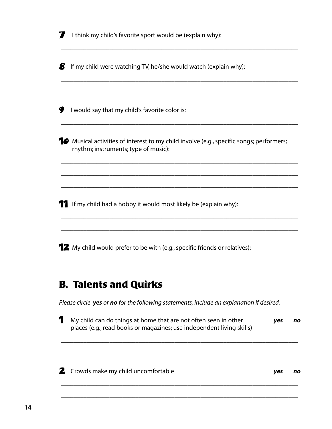|   | I think my child's favorite sport would be (explain why):                                                                               |
|---|-----------------------------------------------------------------------------------------------------------------------------------------|
| B | If my child were watching TV, he/she would watch (explain why):                                                                         |
| У | I would say that my child's favorite color is:                                                                                          |
|   | <b>10</b> Musical activities of interest to my child involve (e.g., specific songs; performers;<br>rhythm; instruments; type of music): |
|   |                                                                                                                                         |
|   | <b>T</b> If my child had a hobby it would most likely be (explain why):                                                                 |
|   | <b>12</b> My child would prefer to be with (e.g., specific friends or relatives):                                                       |

# **B. Talents and Quirks**

*Please circle yes or no for the following statements; include an explanation if desired.*

1 My child can do things at home that are not often seen in other *yes no*  places (e.g., read books or magazines; use independent living skills)

\_\_\_\_\_\_\_\_\_\_\_\_\_\_\_\_\_\_\_\_\_\_\_\_\_\_\_\_\_\_\_\_\_\_\_\_\_\_\_\_\_\_\_\_\_\_\_\_\_\_\_\_\_\_\_\_\_\_\_\_\_\_\_\_\_\_\_\_\_\_\_\_\_

\_\_\_\_\_\_\_\_\_\_\_\_\_\_\_\_\_\_\_\_\_\_\_\_\_\_\_\_\_\_\_\_\_\_\_\_\_\_\_\_\_\_\_\_\_\_\_\_\_\_\_\_\_\_\_\_\_\_\_\_\_\_\_\_\_\_\_\_\_\_\_\_\_

\_\_\_\_\_\_\_\_\_\_\_\_\_\_\_\_\_\_\_\_\_\_\_\_\_\_\_\_\_\_\_\_\_\_\_\_\_\_\_\_\_\_\_\_\_\_\_\_\_\_\_\_\_\_\_\_\_\_\_\_\_\_\_\_\_\_\_\_\_\_\_\_\_

\_\_\_\_\_\_\_\_\_\_\_\_\_\_\_\_\_\_\_\_\_\_\_\_\_\_\_\_\_\_\_\_\_\_\_\_\_\_\_\_\_\_\_\_\_\_\_\_\_\_\_\_\_\_\_\_\_\_\_\_\_\_\_\_\_\_\_\_\_\_\_\_\_

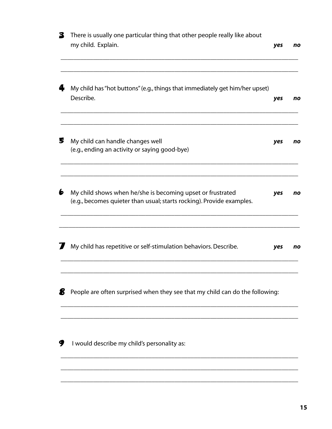| 3         | There is usually one particular thing that other people really like about<br>my child. Explain.                                     | yes | no |
|-----------|-------------------------------------------------------------------------------------------------------------------------------------|-----|----|
|           | My child has "hot buttons" (e.g., things that immediately get him/her upset)<br>Describe.                                           | yes | no |
| 5         | My child can handle changes well<br>(e.g., ending an activity or saying good-bye)                                                   | yes | no |
| $\bullet$ | My child shows when he/she is becoming upset or frustrated<br>(e.g., becomes quieter than usual; starts rocking). Provide examples. | yes | no |
|           | My child has repetitive or self-stimulation behaviors. Describe.                                                                    | yes | no |
| g         | People are often surprised when they see that my child can do the following:                                                        |     |    |
| У         | I would describe my child's personality as:                                                                                         |     |    |

\_\_\_\_\_\_\_\_\_\_\_\_\_\_\_\_\_\_\_\_\_\_\_\_\_\_\_\_\_\_\_\_\_\_\_\_\_\_\_\_\_\_\_\_\_\_\_\_\_\_\_\_\_\_\_\_\_\_\_\_\_\_\_\_\_\_\_\_\_\_\_\_\_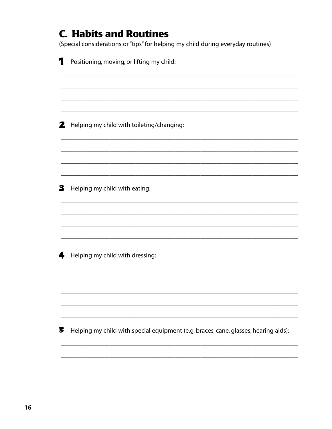# **C. Habits and Routines** (Special considerations or "tips" for helping my child during everyday routines) Positioning, moving, or lifting my child: 2 Helping my child with toileting/changing: 3 Helping my child with eating: 4 Helping my child with dressing: 5 Helping my child with special equipment (e.g, braces, cane, glasses, hearing aids):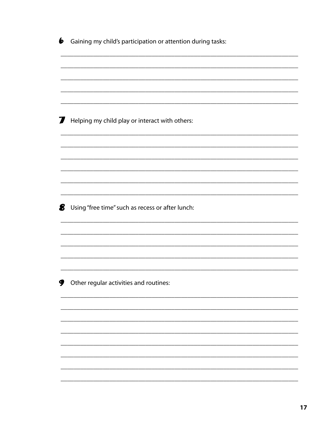| 6 | Gaining my child's participation or attention during tasks: |
|---|-------------------------------------------------------------|
|   |                                                             |
|   |                                                             |
|   |                                                             |
| I | Helping my child play or interact with others:              |
|   |                                                             |
|   |                                                             |
|   |                                                             |
|   |                                                             |
| 8 | Using "free time" such as recess or after lunch:            |
|   |                                                             |
|   |                                                             |
|   |                                                             |
| 9 | Other regular activities and routines:                      |
|   |                                                             |
|   |                                                             |
|   |                                                             |
|   |                                                             |
|   |                                                             |
|   |                                                             |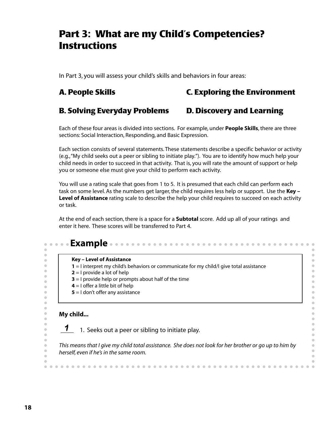# **Part 3: What are my Child's Competencies? Instructions**

In Part 3, you will assess your child's skills and behaviors in four areas:

### **A. People Skills C. Exploring the Environment**

### **B. Solving Everyday Problems D. Discovery and Learning**

Each of these four areas is divided into sections. For example, under **People Skills**, there are three sections: Social Interaction, Responding, and Basic Expression.

Each section consists of several statements. These statements describe a specific behavior or activity (e.g.,"My child seeks out a peer or sibling to initiate play."). You are to identify how much help your child needs in order to succeed in that activity. That is, you will rate the amount of support or help you or someone else must give your child to perform each activity.

You will use a rating scale that goes from 1 to 5. It is presumed that each child can perform each task on some level. As the numbers get larger, the child requires less help or support. Use the **Key – Level of Assistance** rating scale to describe the help your child requires to succeed on each activity or task.

At the end of each section, there is a space for a **Subtotal** score. Add up all of your ratings and enter it here. These scores will be transferred to Part 4.

| Key - Level of Assistance                                                                              |
|--------------------------------------------------------------------------------------------------------|
| 1 = I interpret my child's behaviors or communicate for my child/I give total assistance               |
| $2 = 1$ provide a lot of help                                                                          |
| $3 = 1$ provide help or prompts about half of the time                                                 |
| $4 = 1$ offer a little bit of help                                                                     |
| $5 = 1$ don't offer any assistance                                                                     |
|                                                                                                        |
| 1. Seeks out a peer or sibling to initiate play.                                                       |
|                                                                                                        |
| This means that I give my child total assistance. She does not look for her brother or go up to him by |
| herself, even if he's in the same room.                                                                |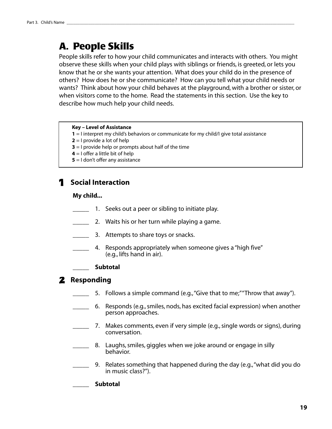# **A. People Skills**

People skills refer to how your child communicates and interacts with others. You might observe these skills when your child plays with siblings or friends, is greeted, or lets you know that he or she wants your attention. What does your child do in the presence of others? How does he or she communicate? How can you tell what your child needs or wants? Think about how your child behaves at the playground, with a brother or sister, or when visitors come to the home. Read the statements in this section. Use the key to describe how much help your child needs.

### **Key – Level of Assistance**

- **1** = I interpret my child's behaviors or communicate for my child/I give total assistance
- **2** = I provide a lot of help
- **3** = I provide help or prompts about half of the time
- **4** = I offer a little bit of help
- **5** = I don't offer any assistance

### 1 **Social Interaction**

### **My child...**

- 1. Seeks out a peer or sibling to initiate play.
- **2.** Waits his or her turn while playing a game.
- **1.** 3. Attempts to share toys or snacks.
- 4. Responds appropriately when someone gives a "high five" (e.g., lifts hand in air).

### \_\_\_\_\_ **Subtotal**

### 2 **Responding**

- 5. Follows a simple command (e.g., "Give that to me;" "Throw that away").
- \_\_\_\_\_ 6. Responds (e.g., smiles, nods, has excited facial expression) when another person approaches.
- 7. Makes comments, even if very simple (e.g., single words or signs), during conversation.
- 8. Laughs, smiles, giggles when we joke around or engage in silly behavior.
- \_\_\_\_\_ 9. Relates something that happened during the day (e.g.,"what did you do in music class?").

### \_\_\_\_\_ **Subtotal**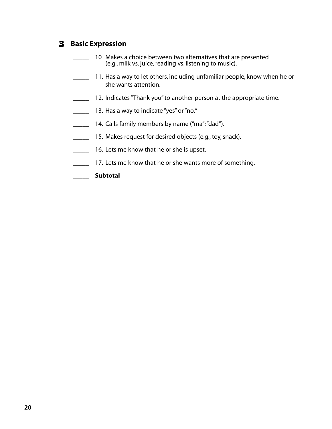### 3 **Basic Expression**

- 10 Makes a choice between two alternatives that are presented (e.g., milk vs. juice, reading vs. listening to music).
- **11.** Has a way to let others, including unfamiliar people, know when he or she wants attention.
- **12. Indicates "Thank you" to another person at the appropriate time.**
- 13. Has a way to indicate "yes" or "no."
- **14. Calls family members by name ("ma"; "dad").**
- **15. Makes request for desired objects (e.g., toy, snack).**
- **16.** Lets me know that he or she is upset.
- 17. Lets me know that he or she wants more of something.
- \_\_\_\_\_ **Subtotal**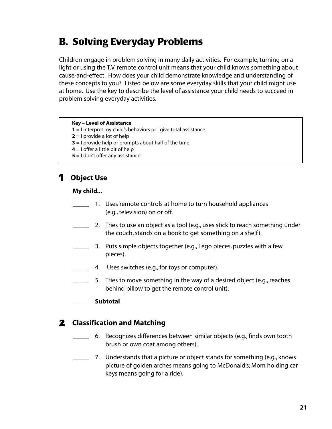# **B. Solving Everyday Problems**

Children engage in problem solving in many daily activities. For example, turning on a light or using the T.V. remote control unit means that your child knows something about cause-and-effect. How does your child demonstrate knowledge and understanding of these concepts to you? Listed below are some everyday skills that your child might use at home. Use the key to describe the level of assistance your child needs to succeed in problem solving everyday activities.

### **Key – Level of Assistance**

- **1** = I interpret my child's behaviors or I give total assistance
- **2** = I provide a lot of help
- **3** = I provide help or prompts about half of the time
- **4** = I offer a little bit of help
- **5** = I don't offer any assistance

### 1 **Object Use**

### **My child...**

- 1. Uses remote controls at home to turn household appliances (e.g., television) on or off.
- 2. Tries to use an object as a tool (e.g., uses stick to reach something under the couch, stands on a book to get something on a shelf).
- \_\_\_\_\_ 3. Puts simple objects together (e.g., Lego pieces, puzzles with a few pieces).
- 4. Uses switches (e.g., for toys or computer).
- 5. Tries to move something in the way of a desired object (e.g., reaches behind pillow to get the remote control unit).

### \_\_\_\_\_ **Subtotal**

### 2 **Classification and Matching**

- \_\_\_\_\_ 6. Recognizes differences between similar objects (e.g., finds own tooth brush or own coat among others).
	- 7. Understands that a picture or object stands for something (e.g., knows picture of golden arches means going to McDonald's; Mom holding car keys means going for a ride).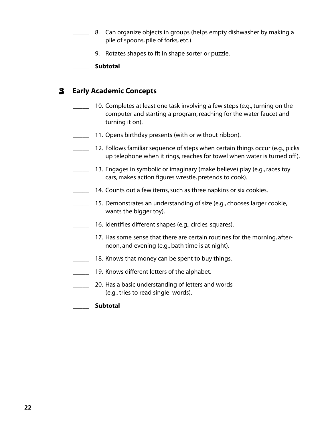- 8. Can organize objects in groups (helps empty dishwasher by making a pile of spoons, pile of forks, etc.).
- 9. Rotates shapes to fit in shape sorter or puzzle.

\_\_\_\_\_ **Subtotal**

### 3 **Early Academic Concepts**

- 10. Completes at least one task involving a few steps (e.g., turning on the computer and starting a program, reaching for the water faucet and turning it on).
- 11. Opens birthday presents (with or without ribbon).
- \_\_\_\_\_ 12. Follows familiar sequence of steps when certain things occur (e.g., picks up telephone when it rings, reaches for towel when water is turned off ).
- 13. Engages in symbolic or imaginary (make believe) play (e.g., races toy cars, makes action figures wrestle, pretends to cook).
- **14. Counts out a few items, such as three napkins or six cookies.** 
	- 15. Demonstrates an understanding of size (e.g., chooses larger cookie, wants the bigger toy).
- \_\_\_\_\_ 16. Identifies different shapes (e.g., circles, squares).
- \_\_\_\_\_ 17. Has some sense that there are certain routines for the morning, afternoon, and evening (e.g., bath time is at night).
- 18. Knows that money can be spent to buy things.
- **\_\_\_\_\_** 19. Knows different letters of the alphabet.
- 20. Has a basic understanding of letters and words (e.g., tries to read single words).
- \_\_\_\_\_ **Subtotal**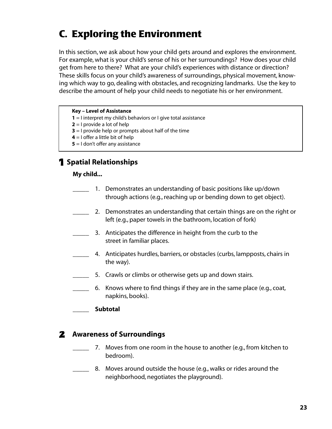# **C. Exploring the Environment**

In this section, we ask about how your child gets around and explores the environment. For example, what is your child's sense of his or her surroundings? How does your child get from here to there? What are your child's experiences with distance or direction? These skills focus on your child's awareness of surroundings, physical movement, knowing which way to go, dealing with obstacles, and recognizing landmarks. Use the key to describe the amount of help your child needs to negotiate his or her environment.

### **Key – Level of Assistance**

- **1** = I interpret my child's behaviors or I give total assistance
- **2** = I provide a lot of help
- **3** = I provide help or prompts about half of the time
- **4** = I offer a little bit of help
- **5** = I don't offer any assistance

### 1 **Spatial Relationships**

### **My child...**

- 1. Demonstrates an understanding of basic positions like up/down through actions (e.g., reaching up or bending down to get object).
- 2. Demonstrates an understanding that certain things are on the right or left (e.g., paper towels in the bathroom, location of fork)
- 3. Anticipates the difference in height from the curb to the street in familiar places.
- 4. Anticipates hurdles, barriers, or obstacles (curbs, lampposts, chairs in the way).
	- 5. Crawls or climbs or otherwise gets up and down stairs.
- \_\_\_\_\_ 6. Knows where to find things if they are in the same place (e.g., coat, napkins, books).
- \_\_\_\_\_ **Subtotal**

### 2 **Awareness of Surroundings**

- \_\_\_\_\_ 7. Moves from one room in the house to another (e.g., from kitchen to bedroom).
- 8. Moves around outside the house (e.g., walks or rides around the neighborhood, negotiates the playground).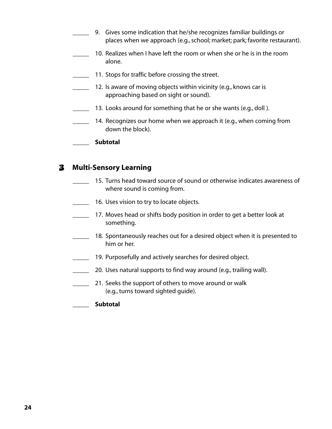- 9. Gives some indication that he/she recognizes familiar buildings or places when we approach (e.g., school; market; park; favorite restaurant).
- \_\_\_\_\_ 10. Realizes when I have left the room or when she or he is in the room alone.
- 11. Stops for traffic before crossing the street.
	- 12. Is aware of moving objects within vicinity (e.g., knows car is approaching based on sight or sound).
- 13. Looks around for something that he or she wants (e.g., doll ).
- 14. Recognizes our home when we approach it (e.g., when coming from down the block).
- \_\_\_\_\_ **Subtotal**

### 3 **Multi-Sensory Learning**

- \_\_\_\_\_ 15. Turns head toward source of sound or otherwise indicates awareness of where sound is coming from.
- **\_\_\_\_\_** 16. Uses vision to try to locate objects.
- 17. Moves head or shifts body position in order to get a better look at something.
- **18. Spontaneously reaches out for a desired object when it is presented to** him or her.
- 19. Purposefully and actively searches for desired object.
- **20.** Uses natural supports to find way around (e.g., trailing wall).
- 21. Seeks the support of others to move around or walk (e.g., turns toward sighted guide).
- \_\_\_\_\_ **Subtotal**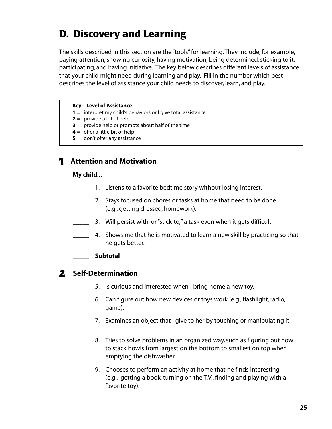# **D. Discovery and Learning**

The skills described in this section are the "tools" for learning. They include, for example, paying attention, showing curiosity, having motivation, being determined, sticking to it, participating, and having initiative. The key below describes different levels of assistance that your child might need during learning and play. Fill in the number which best describes the level of assistance your child needs to discover, learn, and play.

### **Key – Level of Assistance**

- **1** = I interpret my child's behaviors or I give total assistance
- **2** = I provide a lot of help
- **3** = I provide help or prompts about half of the time
- **4** = I offer a little bit of help
- **5** = I don't offer any assistance

### 1 **Attention and Motivation**

### **My child...**

- **\_\_\_\_\_** 1. Listens to a favorite bedtime story without losing interest.
- 2. Stays focused on chores or tasks at home that need to be done (e.g., getting dressed, homework).
- \_\_\_\_\_ 3. Will persist with, or "stick-to," a task even when it gets difficult.
- \_\_\_\_\_ 4. Shows me that he is motivated to learn a new skill by practicing so that he gets better.
- \_\_\_\_\_ **Subtotal**

### 2 **Self-Determination**

- 5. Is curious and interested when I bring home a new toy.
- \_\_\_\_\_ 6. Can figure out how new devices or toys work (e.g., flashlight, radio, game).
- 7. Examines an object that I give to her by touching or manipulating it.
- 8. Tries to solve problems in an organized way, such as figuring out how to stack bowls from largest on the bottom to smallest on top when emptying the dishwasher.
- 9. Chooses to perform an activity at home that he finds interesting (e.g., getting a book, turning on the T.V., finding and playing with a favorite toy).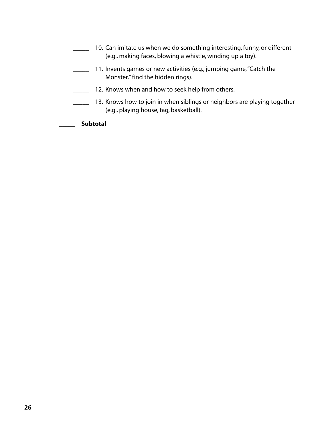- **\_\_\_\_\_** 10. Can imitate us when we do something interesting, funny, or different (e.g., making faces, blowing a whistle, winding up a toy). **11.** Invents games or new activities (e.g., jumping game, "Catch the Monster," find the hidden rings). **12. Knows when and how to seek help from others.** 13. Knows how to join in when siblings or neighbors are playing together (e.g., playing house, tag, basketball).
- \_\_\_\_\_ **Subtotal**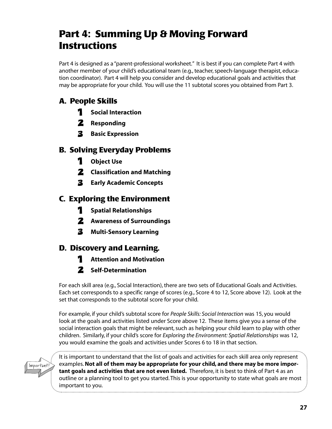# **Part 4: Summing Up & Moving Forward Instructions**

Part 4 is designed as a "parent-professional worksheet." It is best if you can complete Part 4 with another member of your child's educational team (e.g., teacher, speech-language therapist, education coordinator). Part 4 will help you consider and develop educational goals and activities that may be appropriate for your child. You will use the 11 subtotal scores you obtained from Part 3.

## **A. People Skills**

- 1 **Social Interaction**
- 2 **Responding**
- 3 **Basic Expression**

### **B. Solving Everyday Problems**

- 1 **Object Use**
- 2 **Classification and Matching**
- 3 **Early Academic Concepts**

### **C. Exploring the Environment**

- 1 **Spatial Relationships**
- 2 **Awareness of Surroundings**
- 3 **Multi-Sensory Learning**

### **D. Discovery and Learning.**

- 1 **Attention and Motivation**
- 2 **Self-Determination**

For each skill area (e.g., Social Interaction), there are two sets of Educational Goals and Activities. Each set corresponds to a specific range of scores (e.g., Score 4 to 12, Score above 12). Look at the set that corresponds to the subtotal score for your child.

For example, if your child's subtotal score for *People Skills: Social Interaction* was 15, you would look at the goals and activities listed under Score above 12. These items give you a sense of the social interaction goals that might be relevant, such as helping your child learn to play with other children. Similarly, if your child's score for *Exploring the Environment: Spatial Relationships* was 12, you would examine the goals and activities under Scores 6 to 18 in that section.



It is important to understand that the list of goals and activities for each skill area only represent examples.**Not all of them may be appropriate for your child, and there may be more important goals and activities that are not even listed.** Therefore, it is best to think of Part 4 as an outline or a planning tool to get you started. This is your opportunity to state what goals are most important to you.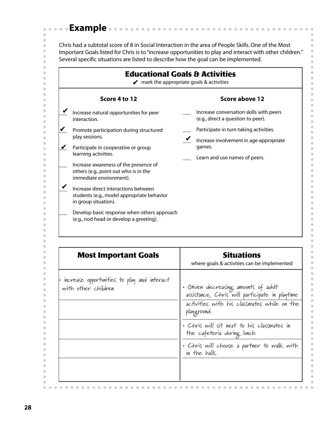## **Example**

 $\bar{\phantom{a}}$ 

 $\hat{\mathbf{U}}$ 

 $\bullet$ 

 $\bullet$ 

 $\bullet$ 

 $\hfill \text{\rm \bf{O}}$ 

 $\begin{array}{c} \bullet \\ \bullet \end{array}$ 

 $\begin{array}{c} \begin{array}{c} \begin{array}{c} \begin{array}{c} \end{array} \end{array} \end{array} \end{array}$ 

 $\bullet$ 

 $\bullet$ 

 $\bullet$ 

 $\bullet$ 

 $\qquad \qquad \blacksquare$ 

 $\begin{array}{c} \begin{array}{c} \begin{array}{c} \begin{array}{c} \end{array} \end{array} \end{array} \end{array}$ 

 $\begin{array}{c} \bullet \\ \bullet \end{array}$ 

 $\bullet$ 

 $\bullet$ 

 $\qquad \qquad \blacksquare$ 

 $\qquad \qquad \bullet$ 

 $\begin{array}{c} \begin{array}{c} \begin{array}{c} \begin{array}{c} \end{array} \end{array} \end{array} \end{array}$ 

 $\bullet$ 

 $\bullet$ 

 $\bullet$ 

 $\bullet$ 

 $\qquad \qquad \bullet$ 

 $\begin{array}{c} \bullet \\ \bullet \end{array}$ 

 $\qquad \qquad \blacksquare$ 

 $\bullet$ 

 $\bullet$ 

 $\bullet$ 

 $\qquad \qquad \bullet$ 

 $\qquad \qquad \Box$ 

 $\qquad \qquad \bullet$ 

 $\bullet$ 

 $\bullet$ 

 $\bullet$ 

 $\qquad \qquad \bullet$ 

 $\qquad \qquad \blacksquare$ 

 $\qquad \qquad \bullet$ 

 $\bullet$ 

 $\bullet$ 

 $\begin{array}{c} \bullet \\ \bullet \end{array}$ 

 $\qquad \qquad \bullet$ 

 $\begin{array}{c} \bullet \\ \bullet \end{array}$ 

 $\bullet$ 

 $\bullet$ 

 $\bullet$ 

 $\begin{array}{c} \bullet \\ \bullet \end{array}$ 

 $\begin{array}{c} \begin{array}{c} \begin{array}{c} \begin{array}{c} \end{array} \end{array} \end{array} \end{array}$ 

 $\qquad \qquad \blacksquare$ 

 $\qquad \qquad \bullet$ 

 $\bullet$ 

 $\bullet$ 

 $\bullet$ 

 $\begin{array}{c} \begin{array}{c} \begin{array}{c} \begin{array}{c} \end{array} \end{array} \end{array} \end{array} \end{array}$ 

 $\qquad \qquad \blacksquare$ 

 $\bullet$ 

 $\bullet$ 

 $\bullet$ 

 $\begin{array}{c} \bullet \\ \bullet \end{array}$ 

 $\begin{array}{c} \begin{array}{c} \begin{array}{c} \begin{array}{c} \end{array} \end{array} \end{array} \end{array}$ 

 $\qquad \qquad \blacksquare$ 

 $\qquad \qquad \bullet$ 

 $\bullet$  $\bullet\bullet$  Chris had a subtotal score of 8 in Social Interaction in the area of People Skills. One of the Most Important Goals listed for Chris is to "increase opportunities to play and interact with other children." Several specific situations are listed to describe how the goal can be implemented.

 $\bullet$ 

 $\bullet$ 

 $\bullet$ 

 $\bullet$ 

 $\qquad \qquad \blacksquare$ 

 $\blacksquare$ 

 $\bullet$ 

 $\bullet$ 

 $\bullet$ 

 $\bullet$ 

 $\bullet$ 

 $\blacksquare$ 

 $\bullet$ 

 $\bullet$ 

 $\bullet$ 

 $\color{red} \bullet$ 

 $\bullet$ 

 $\begin{array}{c} \begin{array}{c} \begin{array}{c} \begin{array}{c} \end{array} \end{array} \end{array} \end{array}$ 

 $\bullet$ 

 $\hfill \text{\rm \bf{O}}$ 

 $\bullet$ 

 $\bullet$ 

 $\qquad \qquad \Box$ 

 $\begin{array}{c} \begin{array}{c} \begin{array}{c} \begin{array}{c} \end{array} \end{array} \end{array} \end{array}$ 

 $\bullet$ 

 $\bullet$ 

 $\bullet$ 

 $\bullet$ 

 $\bullet$ 

 $\bullet$ 

 $\bullet$ 

 $\bullet$ 

 $\bullet$ 

 $\bullet$ 

 $\bullet$ 

 $\bullet$ 

 $\bullet$ 

 $\bullet$ 

 $\bullet$ 

 $\bullet$ 

 $\bullet$ 

 $\begin{array}{c} \begin{array}{c} \begin{array}{c} \begin{array}{c} \end{array} \end{array} \end{array} \end{array}$ 

 $\bullet$ 

 $\bullet$ 

 $\bullet$ 

 $\bullet$ 

 $\qquad \qquad \bullet$ 

 $\begin{array}{c} \bullet \\ \bullet \end{array}$ 

 $\bullet$ 

 $\bullet$ 

 $\bullet$ 

 $\bullet$ 

 $\bullet$ 

 $\bullet$ 

 $\bullet$ 

 $\bullet$ 

 $\bullet$ 

 $\bullet$ 

 $\bullet$ 

 $\bullet$ 

 $\bullet$ 

 $\bullet$ 

 $\bar{\phantom{a}}$ 

 $\begin{array}{c} \bullet \\ \bullet \end{array}$ 

 $\bullet\bullet$ 

 $\sim$  $\bullet$ 

 $\blacksquare$  $\triangle$ 

| Score 4 to 12                                                                                                                                                                                              | Score above 12                                                                                                               |
|------------------------------------------------------------------------------------------------------------------------------------------------------------------------------------------------------------|------------------------------------------------------------------------------------------------------------------------------|
| Increase natural opportunities for peer<br>interaction.                                                                                                                                                    | Increase conversation skills with peers<br>(e.g., direct a question to peer).                                                |
| Promote participation during structured<br>play sessions.<br>Participate in cooperative or group<br>learning activities.<br>Increase awareness of the presence of<br>others (e.g., point out who is in the | Participate in turn-taking activities.<br>Increase involvement in age-appropriate<br>games.<br>Learn and use names of peers. |
| immediate environment).<br>Increase direct interactions between<br>students (e.g., model appropriate behavior<br>in group situation).<br>Develop basic response when others approach                       |                                                                                                                              |
| (e.g., nod head or develop a greeting).<br><b>Most Important Goals</b>                                                                                                                                     | <b>Situations</b>                                                                                                            |

| <b>Most Important Goals</b>                                        | <b>Situations</b><br>where goals & activities can be implemented                                                                                                                                                                                                                                |
|--------------------------------------------------------------------|-------------------------------------------------------------------------------------------------------------------------------------------------------------------------------------------------------------------------------------------------------------------------------------------------|
| increase opportunities to play and interact<br>with other children | - Given decreasing amounts of adult<br>assistance, Chris will participate in playtime<br>activities with his classmates while on the<br>playground.<br>• Chris will sit next to his classmates in<br>the cafeteria during lunch.<br>• Chris will choose a partner to walk with<br>in the halls. |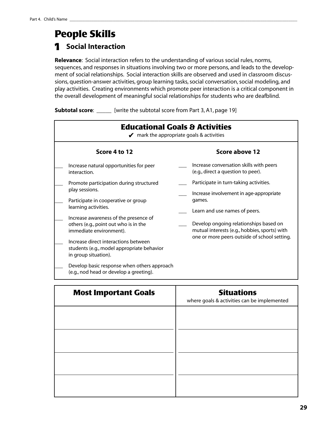# **People Skills**  1 **Social Interaction**

**Relevance**: Social interaction refers to the understanding of various social rules, norms, sequences, and responses in situations involving two or more persons, and leads to the development of social relationships. Social interaction skills are observed and used in classroom discussions, question-answer activities, group learning tasks, social conversation, social modeling, and play activities. Creating environments which promote peer interaction is a critical component in the overall development of meaningful social relationships for students who are deafblind.

**Subtotal score:** \_\_\_\_\_ [write the subtotal score from Part 3, A1, page 19]

| <b>Educational Goals &amp; Activities</b><br>$\blacktriangleright$ mark the appropriate goals & activities |  |                                                                                                                                         |  |
|------------------------------------------------------------------------------------------------------------|--|-----------------------------------------------------------------------------------------------------------------------------------------|--|
| Score 4 to 12                                                                                              |  | Score above 12                                                                                                                          |  |
| Increase natural opportunities for peer<br>interaction.                                                    |  | Increase conversation skills with peers<br>(e.g., direct a question to peer).                                                           |  |
| Promote participation during structured                                                                    |  | Participate in turn-taking activities.                                                                                                  |  |
| play sessions.<br>Participate in cooperative or group                                                      |  | Increase involvement in age-appropriate<br>games.                                                                                       |  |
| learning activities.                                                                                       |  | Learn and use names of peers.                                                                                                           |  |
| Increase awareness of the presence of<br>others (e.g., point out who is in the<br>immediate environment).  |  | Develop ongoing relationships based on<br>mutual interests (e.g., hobbies, sports) with<br>one or more peers outside of school setting. |  |
| Increase direct interactions between<br>students (e.g., model appropriate behavior<br>in group situation). |  |                                                                                                                                         |  |
| Develop basic response when others approach<br>(e.g., nod head or develop a greeting).                     |  |                                                                                                                                         |  |

| <b>Most Important Goals</b> | <b>Situations</b><br>where goals & activities can be implemented |
|-----------------------------|------------------------------------------------------------------|
|                             |                                                                  |
|                             |                                                                  |
|                             |                                                                  |
|                             |                                                                  |
|                             |                                                                  |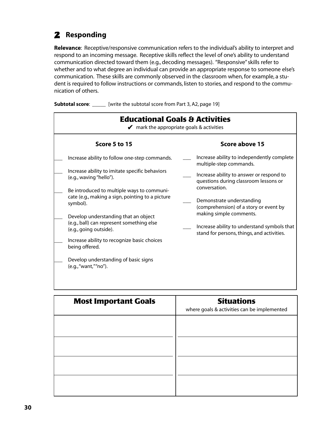### 2 **Responding**

**Relevance**: Receptive/responsive communication refers to the individual's ability to interpret and respond to an incoming message. Receptive skills reflect the level of one's ability to understand communication directed toward them (e.g., decoding messages). "Responsive" skills refer to whether and to what degree an individual can provide an appropriate response to someone else's communication. These skills are commonly observed in the classroom when, for example, a student is required to follow instructions or commands, listen to stories, and respond to the communication of others.

**Subtotal score:** \_\_\_\_\_\_ [write the subtotal score from Part 3, A2, page 19]

| <b>Educational Goals &amp; Activities</b><br>$\blacktriangleright$ mark the appropriate goals & activities                                                                   |  |                                                                                                                      |
|------------------------------------------------------------------------------------------------------------------------------------------------------------------------------|--|----------------------------------------------------------------------------------------------------------------------|
| Score 5 to 15                                                                                                                                                                |  | Score above 15                                                                                                       |
| Increase ability to follow one-step commands.                                                                                                                                |  | Increase ability to independently complete<br>multiple-step commands.                                                |
| Increase ability to imitate specific behaviors<br>(e.g., waving "hello").                                                                                                    |  | Increase ability to answer or respond to<br>questions during classroom lessons or                                    |
| Be introduced to multiple ways to communi-<br>cate (e.g., making a sign, pointing to a picture<br>symbol).                                                                   |  | conversation.<br>Demonstrate understanding<br>(comprehension) of a story or event by                                 |
| Develop understanding that an object<br>(e.g., ball) can represent something else<br>(e.g., going outside).<br>Increase ability to recognize basic choices<br>being offered. |  | making simple comments.<br>Increase ability to understand symbols that<br>stand for persons, things, and activities. |
| Develop understanding of basic signs<br>(e.g., "want," "no").                                                                                                                |  |                                                                                                                      |

| <b>Most Important Goals</b> | <b>Situations</b><br>where goals & activities can be implemented |
|-----------------------------|------------------------------------------------------------------|
|                             |                                                                  |
|                             |                                                                  |
|                             |                                                                  |
|                             |                                                                  |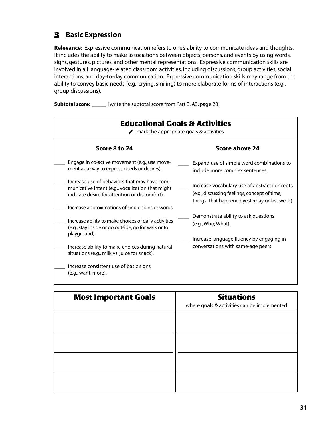### 3 **Basic Expression**

**Relevance**: Expressive communication refers to one's ability to communicate ideas and thoughts. It includes the ability to make associations between objects, persons, and events by using words, signs, gestures, pictures, and other mental representations. Expressive communication skills are involved in all language-related classroom activities, including discussions, group activities, social interactions, and day-to-day communication. Expressive communication skills may range from the ability to convey basic needs (e.g., crying, smiling) to more elaborate forms of interactions (e.g., group discussions).

**Subtotal score:** \_\_\_\_\_\_ [write the subtotal score from Part 3, A3, page 20]

| <b>Educational Goals &amp; Activities</b><br>$\blacktriangleright$ mark the appropriate goals & activities                                                                       |                                                                                                                                               |  |
|----------------------------------------------------------------------------------------------------------------------------------------------------------------------------------|-----------------------------------------------------------------------------------------------------------------------------------------------|--|
| Score 8 to 24                                                                                                                                                                    | Score above 24                                                                                                                                |  |
| Engage in co-active movement (e.g., use move-<br>ment as a way to express needs or desires).                                                                                     | Expand use of simple word combinations to<br>include more complex sentences.                                                                  |  |
| Increase use of behaviors that may have com-<br>municative intent (e.g., vocalization that might<br>indicate desire for attention or discomfort).                                | Increase vocabulary use of abstract concepts<br>(e.g., discussing feelings, concept of time,<br>things that happened yesterday or last week). |  |
| Increase approximations of single signs or words.<br>Increase ability to make choices of daily activities<br>(e.g., stay inside or go outside; go for walk or to<br>playground). | Demonstrate ability to ask questions<br>(e.g., Who; What).<br>Increase language fluency by engaging in                                        |  |
| Increase ability to make choices during natural<br>situations (e.g., milk vs. juice for snack).                                                                                  | conversations with same-age peers.                                                                                                            |  |
| Increase consistent use of basic signs<br>(e.g., want, more).                                                                                                                    |                                                                                                                                               |  |

| <b>Most Important Goals</b> | <b>Situations</b><br>where goals & activities can be implemented |
|-----------------------------|------------------------------------------------------------------|
|                             |                                                                  |
|                             |                                                                  |
|                             |                                                                  |
|                             |                                                                  |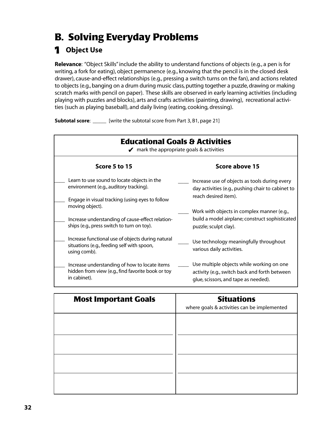# **B. Solving Everyday Problems**

### 1 **Object Use**

**Relevance**: "Object Skills" include the ability to understand functions of objects (e.g., a pen is for writing, a fork for eating), object permanence (e.g., knowing that the pencil is in the closed desk drawer), cause-and-effect relationships (e.g., pressing a switch turns on the fan), and actions related to objects (e.g., banging on a drum during music class, putting together a puzzle, drawing or making scratch marks with pencil on paper). These skills are observed in early learning activities (including playing with puzzles and blocks), arts and crafts activities (painting, drawing), recreational activities (such as playing baseball), and daily living (eating, cooking, dressing).

**Subtotal score:** \_\_\_\_\_ [write the subtotal score from Part 3, B1, page 21]

| <b>Educational Goals &amp; Activities</b><br>$\blacktriangleright$ mark the appropriate goals & activities      |                                                                     |
|-----------------------------------------------------------------------------------------------------------------|---------------------------------------------------------------------|
| Score 5 to 15                                                                                                   | Score above 15                                                      |
| Learn to use sound to locate objects in the                                                                     | Increase use of objects as tools during every                       |
| environment (e.g., auditory tracking).                                                                          | day activities (e.g., pushing chair to cabinet to                   |
| Engage in visual tracking (using eyes to follow                                                                 | reach desired item).                                                |
| moving object).                                                                                                 | Work with objects in complex manner (e.g.,                          |
| Increase understanding of cause-effect relation-                                                                | build a model airplane; construct sophisticated                     |
| ships (e.g., press switch to turn on toy).                                                                      | puzzle; sculpt clay).                                               |
| Increase functional use of objects during natural<br>situations (e.g., feeding self with spoon,<br>using comb). | Use technology meaningfully throughout<br>various daily activities. |
| Increase understanding of how to locate items                                                                   | Use multiple objects while working on one                           |
| hidden from view (e.g., find favorite book or toy                                                               | activity (e.g., switch back and forth between                       |
| in cabinet).                                                                                                    | glue, scissors, and tape as needed).                                |

| <b>Most Important Goals</b> | <b>Situations</b><br>where goals & activities can be implemented |
|-----------------------------|------------------------------------------------------------------|
|                             |                                                                  |
|                             |                                                                  |
|                             |                                                                  |
|                             |                                                                  |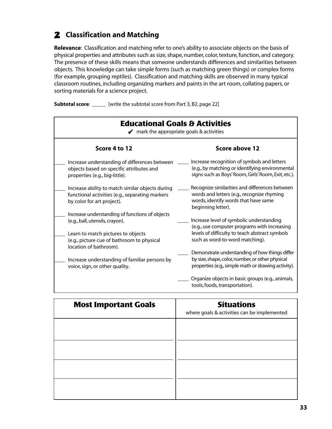### 2 **Classification and Matching**

**Relevance**: Classification and matching refer to one's ability to associate objects on the basis of physical properties and attributes such as size, shape, number, color, texture, function, and category. The presence of these skills means that someone understands differences and similarities between objects. This knowledge can take simple forms (such as matching green things) or complex forms (for example, grouping reptiles). Classification and matching skills are observed in many typical classroom routines, including organizing markers and paints in the art room, collating papers, or sorting materials for a science project.

**Subtotal score:** \_\_\_\_\_ [write the subtotal score from Part 3, B2, page 22]

| <b>Educational Goals &amp; Activities</b><br>$\blacktriangleright$ mark the appropriate goals & activities                        |                                                                                                                                                            |  |
|-----------------------------------------------------------------------------------------------------------------------------------|------------------------------------------------------------------------------------------------------------------------------------------------------------|--|
| Score 4 to 12                                                                                                                     | Score above 12                                                                                                                                             |  |
| Increase understanding of differences between<br>objects based on specific attributes and<br>properties (e.g., big-little).       | Increase recognition of symbols and letters<br>(e.g., by matching or identifying environmental<br>signs such as Boys' Room, Girls' Room, Exit, etc.).      |  |
| Increase ability to match similar objects during<br>functional activities (e.g., separating markers<br>by color for art project). | Recognize similarities and differences between<br>words and letters (e.g., recognize rhyming<br>words, identify words that have same<br>beginning letter). |  |
| Increase understanding of functions of objects<br>(e.g., ball, utensils, crayon).                                                 | Increase level of symbolic understanding                                                                                                                   |  |
| Learn to match pictures to objects<br>(e.g., picture cue of bathroom to physical<br>location of bathroom).                        | (e.g., use computer programs with increasing<br>levels of difficulty to teach abstract symbols<br>such as word-to-word matching).                          |  |
| Increase understanding of familiar persons by<br>voice, sign, or other quality.                                                   | Demonstrate understanding of how things differ<br>by size, shape, color, number, or other physical<br>properties (e.g., simple math or drawing activity).  |  |
|                                                                                                                                   | Organize objects in basic groups (e.g., animals,<br>tools, foods, transportation).                                                                         |  |

| <b>Most Important Goals</b> | <b>Situations</b><br>where goals & activities can be implemented |
|-----------------------------|------------------------------------------------------------------|
|                             |                                                                  |
|                             |                                                                  |
|                             |                                                                  |
|                             |                                                                  |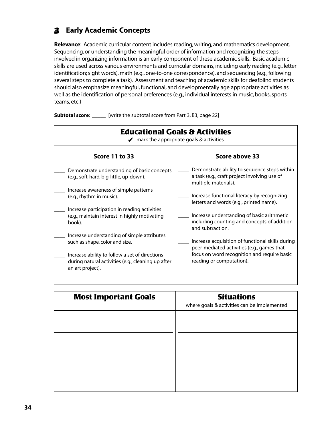### 3 **Early Academic Concepts**

**Relevance**: Academic curricular content includes reading, writing, and mathematics development. Sequencing, or understanding the meaningful order of information and recognizing the steps involved in organizing information is an early component of these academic skills. Basic academic skills are used across various environments and curricular domains, including early reading (e.g., letter identification; sight words), math (e.g., one-to-one correspondence), and sequencing (e.g., following several steps to complete a task). Assessment and teaching of academic skills for deafblind students should also emphasize meaningful, functional, and developmentally age appropriate activities as well as the identification of personal preferences (e.g., individual interests in music, books, sports teams, etc.)

**Subtotal score:** \_\_\_\_\_ [write the subtotal score from Part 3, B3, page 22]

| <b>Educational Goals &amp; Activities</b><br>$\blacktriangleright$ mark the appropriate goals & activities               |                                                                                                                      |
|--------------------------------------------------------------------------------------------------------------------------|----------------------------------------------------------------------------------------------------------------------|
| Score 11 to 33                                                                                                           | Score above 33                                                                                                       |
| Demonstrate understanding of basic concepts<br>(e.g., soft-hard, big-little, up-down).                                   | Demonstrate ability to sequence steps within<br>a task (e.g., craft project involving use of<br>multiple materials). |
| Increase awareness of simple patterns                                                                                    |                                                                                                                      |
| (e.g., rhythm in music).                                                                                                 | Increase functional literacy by recognizing<br>letters and words (e.g., printed name).                               |
| Increase participation in reading activities                                                                             |                                                                                                                      |
| (e.g., maintain interest in highly motivating<br>book).                                                                  | Increase understanding of basic arithmetic<br>including counting and concepts of addition<br>and subtraction.        |
| Increase understanding of simple attributes                                                                              |                                                                                                                      |
| such as shape, color and size.                                                                                           | Increase acquisition of functional skills during<br>peer-mediated activities (e.g., games that                       |
| Increase ability to follow a set of directions<br>during natural activities (e.g., cleaning up after<br>an art project). | focus on word recognition and require basic<br>reading or computation).                                              |
|                                                                                                                          |                                                                                                                      |

| <b>Most Important Goals</b> | <b>Situations</b><br>where goals & activities can be implemented |
|-----------------------------|------------------------------------------------------------------|
|                             |                                                                  |
|                             |                                                                  |
|                             |                                                                  |
|                             |                                                                  |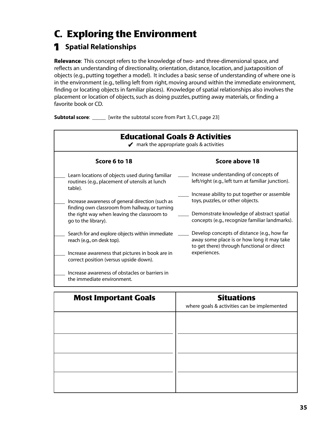# **C. Exploring the Environment**

## 1 **Spatial Relationships**

**Relevance**: This concept refers to the knowledge of two- and three-dimensional space, and reflects an understanding of directionality, orientation, distance, location, and juxtaposition of objects (e.g., putting together a model). It includes a basic sense of understanding of where one is in the environment (e.g., telling left from right, moving around within the immediate environment, finding or locating objects in familiar places). Knowledge of spatial relationships also involves the placement or location of objects, such as doing puzzles, putting away materials, or finding a favorite book or CD.

**Subtotal score:** \_\_\_\_\_ [write the subtotal score from Part 3, C1, page 23]



| <b>Most Important Goals</b> | <b>Situations</b><br>where goals & activities can be implemented |
|-----------------------------|------------------------------------------------------------------|
|                             |                                                                  |
|                             |                                                                  |
|                             |                                                                  |
|                             |                                                                  |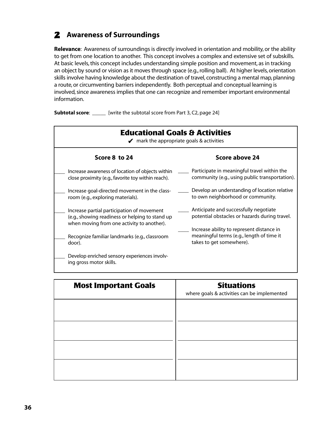### 2 **Awareness of Surroundings**

**Relevance**: Awareness of surroundings is directly involved in orientation and mobility, or the ability to get from one location to another. This concept involves a complex and extensive set of subskills. At basic levels, this concept includes understanding simple position and movement, as in tracking an object by sound or vision as it moves through space (e.g., rolling ball). At higher levels, orientation skills involve having knowledge about the destination of travel, constructing a mental map, planning a route, or circumventing barriers independently. Both perceptual and conceptual learning is involved, since awareness implies that one can recognize and remember important environmental information.

**Subtotal score:** \_\_\_\_\_ [write the subtotal score from Part 3, C2, page 24]

| <b>Educational Goals &amp; Activities</b><br>$\blacktriangleright$ mark the appropriate goals & activities                                  |                                                                                                                    |
|---------------------------------------------------------------------------------------------------------------------------------------------|--------------------------------------------------------------------------------------------------------------------|
| Score 8 to 24                                                                                                                               | Score above 24                                                                                                     |
| Increase awareness of location of objects within<br>close proximity (e.g., favorite toy within reach).                                      | Participate in meaningful travel within the<br>community (e.g., using public transportation).                      |
| Increase goal-directed movement in the class-<br>room (e.g., exploring materials).                                                          | Develop an understanding of location relative<br>to own neighborhood or community.                                 |
| Increase partial participation of movement<br>(e.g., showing readiness or helping to stand up<br>when moving from one activity to another). | Anticipate and successfully negotiate<br>potential obstacles or hazards during travel.                             |
| Recognize familiar landmarks (e.g., classroom<br>door).                                                                                     | Increase ability to represent distance in<br>meaningful terms (e.g., length of time it<br>takes to get somewhere). |
| Develop enriched sensory experiences involv-<br>ing gross motor skills.                                                                     |                                                                                                                    |

| <b>Most Important Goals</b> | <b>Situations</b><br>where goals & activities can be implemented |
|-----------------------------|------------------------------------------------------------------|
|                             |                                                                  |
|                             |                                                                  |
|                             |                                                                  |
|                             |                                                                  |
|                             |                                                                  |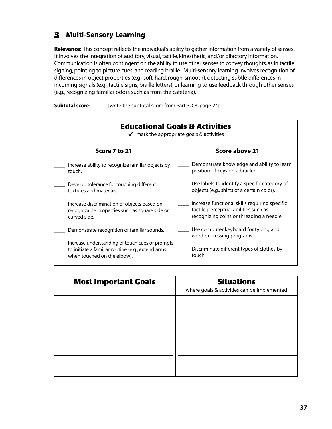### 3 **Multi-Sensory Learning**

**Relevance**: This concept reflects the individual's ability to gather information from a variety of senses. It involves the integration of auditory, visual, tactile, kinesthetic, and/or olfactory information. Communication is often contingent on the ability to use other senses to convey thoughts, as in tactile signing, pointing to picture cues, and reading braille. Multi-sensory learning involves recognition of differences in object properties (e.g., soft, hard, rough, smooth), detecting subtle differences in incoming signals (e.g., tactile signs, braille letters), or learning to use feedback through other senses (e.g., recognizing familiar odors such as from the cafeteria).

**Subtotal score:** \_\_\_\_\_ [write the subtotal score from Part 3, C3, page 24]

| <b>Educational Goals &amp; Activities</b><br>$\blacktriangleright$ mark the appropriate goals & activities                          |                                                                                                                                   |  |
|-------------------------------------------------------------------------------------------------------------------------------------|-----------------------------------------------------------------------------------------------------------------------------------|--|
| Score 7 to 21                                                                                                                       | Score above 21                                                                                                                    |  |
| Increase ability to recognize familiar objects by<br>touch.                                                                         | Demonstrate knowledge and ability to learn<br>position of keys on a brailler.                                                     |  |
| Develop tolerance for touching different<br>textures and materials.                                                                 | Use labels to identify a specific category of<br>objects (e.g., shirts of a certain color).                                       |  |
| Increase discrimination of objects based on<br>recognizable properties such as square side or<br>curved side.                       | Increase functional skills requiring specific<br>tactile-perceptual abilities such as<br>recognizing coins or threading a needle. |  |
| Demonstrate recognition of familiar sounds.                                                                                         | Use computer keyboard for typing and<br>word processing programs.                                                                 |  |
| Increase understanding of touch cues or prompts<br>to initiate a familiar routine (e.g., extend arms<br>when touched on the elbow). | Discriminate different types of clothes by<br>touch.                                                                              |  |

| <b>Most Important Goals</b> | <b>Situations</b><br>where goals & activities can be implemented |
|-----------------------------|------------------------------------------------------------------|
|                             |                                                                  |
|                             |                                                                  |
|                             |                                                                  |
|                             |                                                                  |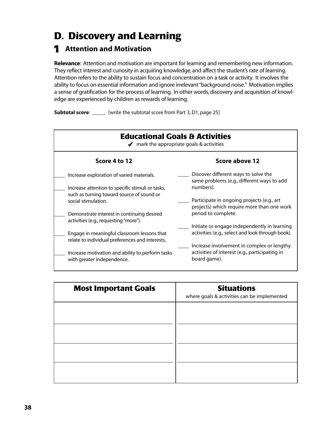# **D. Discovery and Learning**

### 1 **Attention and Motivation**

**Relevance**: Attention and motivation are important for learning and remembering new information. They reflect interest and curiosity in acquiring knowledge, and affect the student's rate of learning. Attention refers to the ability to sustain focus and concentration on a task or activity. It involves the ability to focus on essential information and ignore irrelevant "background noise." Motivation implies a sense of gratification for the process of learning. In other words, discovery and acquisition of knowledge are experienced by children as rewards of learning.

**Subtotal score:** \_\_\_\_\_\_ [write the subtotal score from Part 3, D1, page 25]



| <b>Most Important Goals</b> | <b>Situations</b><br>where goals & activities can be implemented |
|-----------------------------|------------------------------------------------------------------|
|                             |                                                                  |
|                             |                                                                  |
|                             |                                                                  |
|                             |                                                                  |